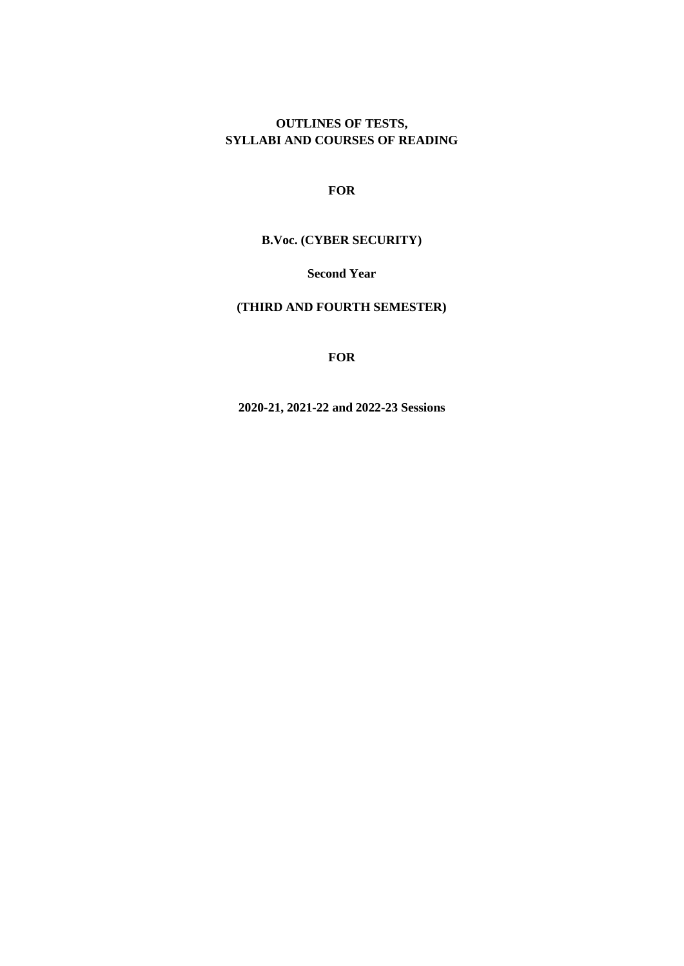# **OUTLINES OF TESTS, SYLLABI AND COURSES OF READING**

**FOR**

**B.Voc. (CYBER SECURITY)**

**Second Year** 

**(THIRD AND FOURTH SEMESTER)**

**FOR**

**2020-21, 2021-22 and 2022-23 Sessions**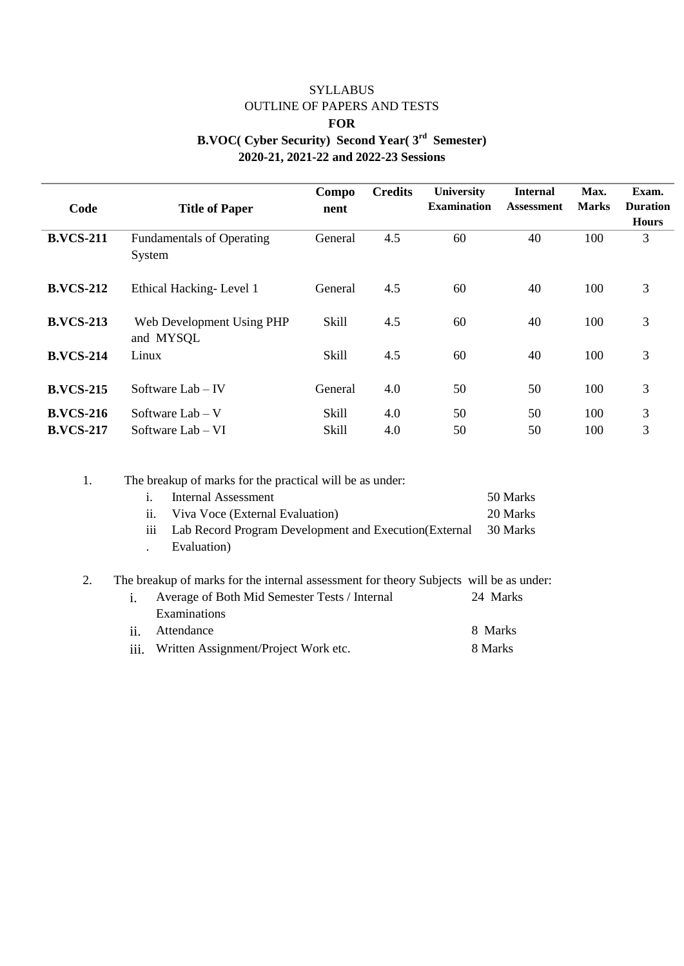# SYLLABUS OUTLINE OF PAPERS AND TESTS **FOR B.VOC( Cyber Security) Second Year( 3rd Semester) 2020-21, 2021-22 and 2022-23 Sessions**

| Code                                 | <b>Title of Paper</b>                      | Compo<br>nent         | <b>Credits</b> | <b>University</b><br><b>Examination</b> | <b>Internal</b><br><b>Assessment</b> | Max.<br><b>Marks</b> | Exam.<br><b>Duration</b> |
|--------------------------------------|--------------------------------------------|-----------------------|----------------|-----------------------------------------|--------------------------------------|----------------------|--------------------------|
|                                      |                                            |                       |                |                                         |                                      |                      | <b>Hours</b>             |
| <b>B.VCS-211</b>                     | <b>Fundamentals of Operating</b><br>System | General               | 4.5            | 60                                      | 40                                   | 100                  | 3                        |
| <b>B.VCS-212</b>                     | Ethical Hacking-Level 1                    | General               | 4.5            | 60                                      | 40                                   | 100                  | 3                        |
| <b>B.VCS-213</b>                     | Web Development Using PHP<br>and MYSQL     | <b>Skill</b>          | 4.5            | 60                                      | 40                                   | 100                  | 3                        |
| <b>B.VCS-214</b>                     | Linux                                      | <b>Skill</b>          | 4.5            | 60                                      | 40                                   | 100                  | 3                        |
| <b>B.VCS-215</b>                     | Software Lab $-$ IV                        | General               | 4.0            | 50                                      | 50                                   | 100                  | 3                        |
| <b>B.VCS-216</b><br><b>B.VCS-217</b> | Software $Lab-V$<br>Software Lab – VI      | Skill<br><b>Skill</b> | 4.0<br>4.0     | 50<br>50                                | 50<br>50                             | 100<br>100           | 3<br>3                   |

| 1. |                | The breakup of marks for the practical will be as under:                               |             |
|----|----------------|----------------------------------------------------------------------------------------|-------------|
|    | 1.             | <b>Internal Assessment</b>                                                             | 50 Marks    |
|    | 11.            | Viva Voce (External Evaluation)                                                        | 20 Marks    |
|    | 111            | Lab Record Program Development and Execution (External                                 | 30 Marks    |
|    |                | Evaluation)                                                                            |             |
| 2. |                | The breakup of marks for the internal assessment for theory Subjects will be as under: |             |
|    | $\mathbf{1}$ . | Average of Both Mid Semester Tests / Internal                                          | 24 Marks    |
|    |                | Examinations                                                                           |             |
|    | 11.            | Attendance                                                                             | Marks<br>x. |

iii. Written Assignment/Project Work etc. 8 Marks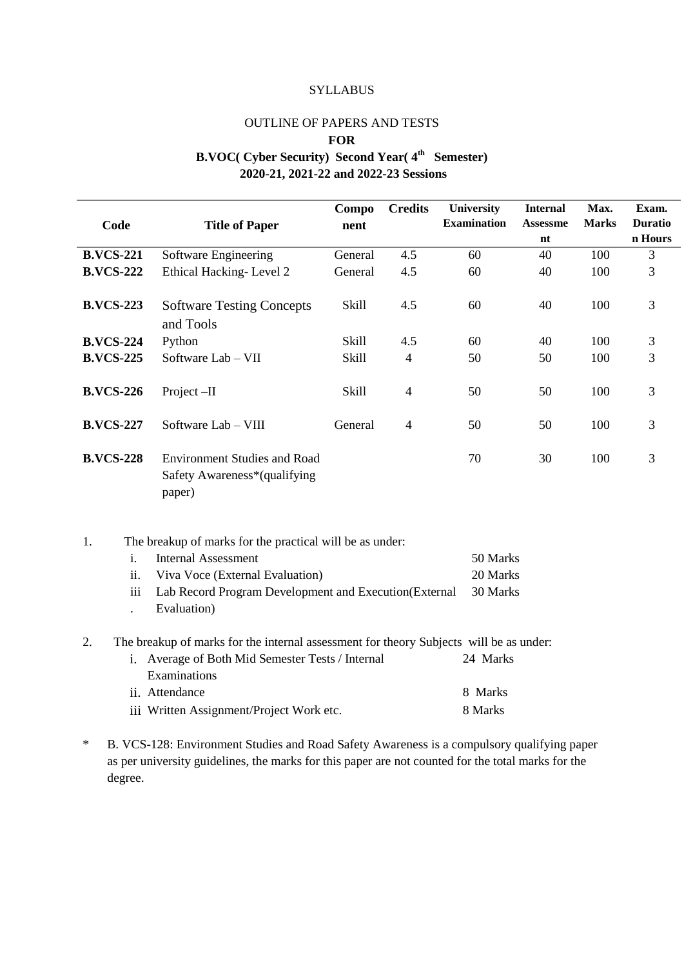#### **SYLLABUS**

### OUTLINE OF PAPERS AND TESTS

#### **FOR**

# **B.VOC( Cyber Security) Second Year( 4th Semester)**

**2020-21, 2021-22 and 2022-23 Sessions**

|                                                                                              |                                                          | Compo        | <b>Credits</b> | <b>University</b>  | <b>Internal</b> | Max.         | Exam.          |
|----------------------------------------------------------------------------------------------|----------------------------------------------------------|--------------|----------------|--------------------|-----------------|--------------|----------------|
| Code                                                                                         | <b>Title of Paper</b>                                    | nent         |                | <b>Examination</b> | <b>Assessme</b> | <b>Marks</b> | <b>Duratio</b> |
|                                                                                              |                                                          |              |                |                    | nt              |              | n Hours        |
| <b>B.VCS-221</b>                                                                             | Software Engineering                                     | General      | 4.5            | 60                 | 40              | 100          | $\overline{3}$ |
| <b>B.VCS-222</b>                                                                             | Ethical Hacking-Level 2                                  | General      | 4.5            | 60                 | 40              | 100          | 3              |
|                                                                                              |                                                          |              |                |                    |                 |              |                |
| <b>B.VCS-223</b>                                                                             | <b>Software Testing Concepts</b>                         | <b>Skill</b> | 4.5            | 60                 | 40              | 100          | 3              |
|                                                                                              | and Tools                                                |              |                |                    |                 |              |                |
| <b>B.VCS-224</b>                                                                             | Python                                                   | Skill        | 4.5            | 60                 | 40              | 100          | 3              |
| <b>B.VCS-225</b>                                                                             | Software Lab - VII                                       | <b>Skill</b> | $\overline{4}$ | 50                 | 50              | 100          | 3              |
|                                                                                              |                                                          |              |                |                    |                 |              |                |
| <b>B.VCS-226</b>                                                                             | Project-II                                               | <b>Skill</b> | $\overline{4}$ | 50                 | 50              | 100          | 3              |
|                                                                                              |                                                          |              |                |                    |                 |              |                |
| <b>B.VCS-227</b>                                                                             | Software Lab - VIII                                      | General      | $\overline{4}$ | 50                 | 50              | 100          | 3              |
|                                                                                              |                                                          |              |                |                    |                 |              |                |
| <b>B.VCS-228</b>                                                                             | <b>Environment Studies and Road</b>                      |              |                | 70                 | 30              | 100          | 3              |
|                                                                                              | Safety Awareness*(qualifying                             |              |                |                    |                 |              |                |
|                                                                                              | paper)                                                   |              |                |                    |                 |              |                |
|                                                                                              |                                                          |              |                |                    |                 |              |                |
|                                                                                              |                                                          |              |                |                    |                 |              |                |
| 1.                                                                                           | The breakup of marks for the practical will be as under: |              |                |                    |                 |              |                |
| $\mathbf{i}$ .                                                                               | <b>Internal Assessment</b>                               |              |                | 50 Marks           |                 |              |                |
| ii.                                                                                          | Viva Voce (External Evaluation)                          |              |                | 20 Marks           |                 |              |                |
| iii                                                                                          | Lab Record Program Development and Execution(External    |              |                | 30 Marks           |                 |              |                |
| $\ddot{\phantom{0}}$                                                                         | Evaluation)                                              |              |                |                    |                 |              |                |
|                                                                                              |                                                          |              |                |                    |                 |              |                |
| The breakup of marks for the internal assessment for theory Subjects will be as under:<br>2. |                                                          |              |                |                    |                 |              |                |
|                                                                                              | i. Average of Both Mid Semester Tests / Internal         |              |                | 24 Marks           |                 |              |                |
|                                                                                              | Examinations                                             |              |                |                    |                 |              |                |
|                                                                                              | ii. Attendance                                           |              |                | 8 Marks            |                 |              |                |
|                                                                                              | iii Written Assignment/Project Work etc.                 |              |                | 8 Marks            |                 |              |                |
|                                                                                              |                                                          |              |                |                    |                 |              |                |

\* B. VCS-128: Environment Studies and Road Safety Awareness is a compulsory qualifying paper as per university guidelines, the marks for this paper are not counted for the total marks for the degree.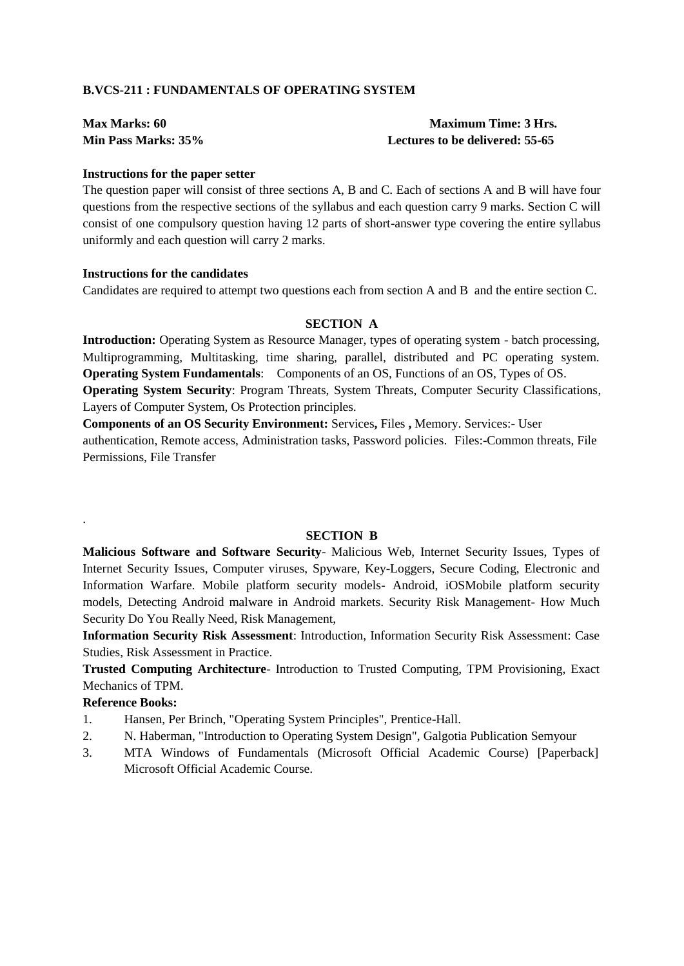#### **B.VCS-211 : FUNDAMENTALS OF OPERATING SYSTEM**

| <b>Max Marks: 60</b> | <b>Maximum Time: 3 Hrs.</b>     |
|----------------------|---------------------------------|
| Min Pass Marks: 35%  | Lectures to be delivered: 55-65 |

#### **Instructions for the paper setter**

The question paper will consist of three sections A, B and C. Each of sections A and B will have four questions from the respective sections of the syllabus and each question carry 9 marks. Section C will consist of one compulsory question having 12 parts of short-answer type covering the entire syllabus uniformly and each question will carry 2 marks.

#### **Instructions for the candidates**

Candidates are required to attempt two questions each from section A and B and the entire section C.

#### **SECTION A**

**Introduction:** Operating System as Resource Manager, types of operating system - batch processing, Multiprogramming, Multitasking, time sharing, parallel, distributed and PC operating system. **Operating System Fundamentals**: Components of an OS, Functions of an OS, Types of OS. **Operating System Security**: Program Threats, System Threats, Computer Security Classifications, Layers of Computer System, Os Protection principles.

**Components of an OS Security Environment:** Services**,** Files **,** Memory. Services:- User authentication, Remote access, Administration tasks, Password policies. Files:-Common threats, File Permissions, File Transfer

#### **SECTION B**

**Malicious Software and Software Security**- Malicious Web, Internet Security Issues, Types of Internet Security Issues, Computer viruses, Spyware, Key-Loggers, Secure Coding, Electronic and Information Warfare. Mobile platform security models- Android, iOSMobile platform security models, Detecting Android malware in Android markets. Security Risk Management- How Much Security Do You Really Need, Risk Management,

**Information Security Risk Assessment**: Introduction, Information Security Risk Assessment: Case Studies, Risk Assessment in Practice.

**Trusted Computing Architecture**- Introduction to Trusted Computing, TPM Provisioning, Exact Mechanics of TPM.

#### **Reference Books:**

.

- 1. Hansen, Per Brinch, "Operating System Principles", Prentice-Hall.
- 2. N. Haberman, "Introduction to Operating System Design", Galgotia Publication Semyour
- 3. MTA Windows of Fundamentals (Microsoft Official Academic Course) [Paperback] Microsoft Official Academic Course.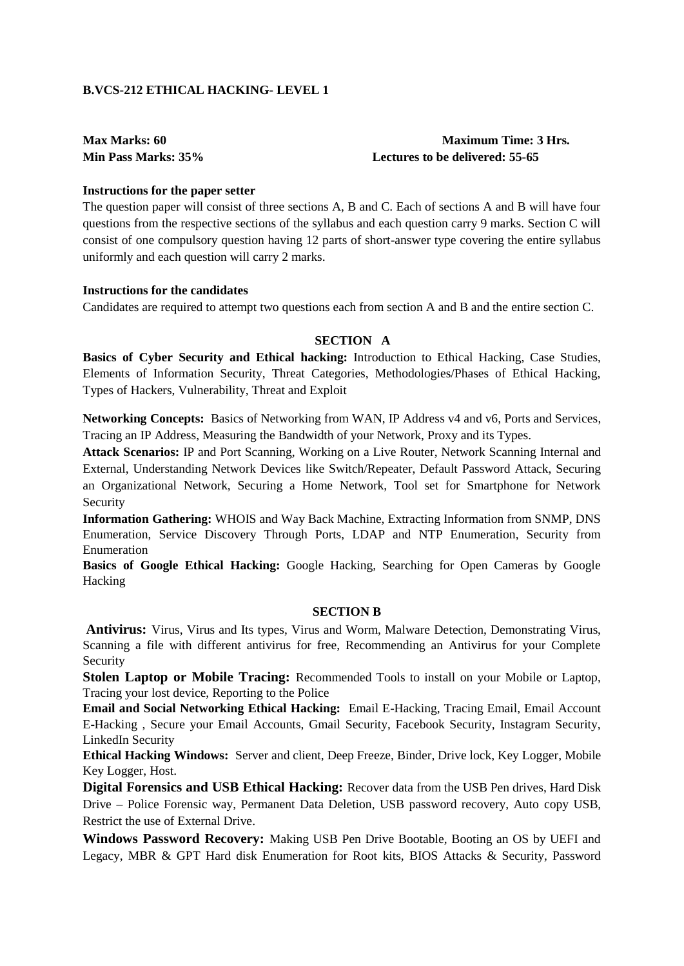#### **B.VCS-212 ETHICAL HACKING- LEVEL 1**

# **Max Marks: 60 Maximum Time: 3 Hrs. Min Pass Marks: 35% Lectures to be delivered: 55-65**

#### **Instructions for the paper setter**

The question paper will consist of three sections A, B and C. Each of sections A and B will have four questions from the respective sections of the syllabus and each question carry 9 marks. Section C will consist of one compulsory question having 12 parts of short-answer type covering the entire syllabus uniformly and each question will carry 2 marks.

#### **Instructions for the candidates**

Candidates are required to attempt two questions each from section A and B and the entire section C.

#### **SECTION A**

**Basics of Cyber Security and Ethical hacking:** Introduction to Ethical Hacking, Case Studies, Elements of Information Security, Threat Categories, Methodologies/Phases of Ethical Hacking, Types of Hackers, Vulnerability, Threat and Exploit

**Networking Concepts:** Basics of Networking from WAN, IP Address v4 and v6, Ports and Services, Tracing an IP Address, Measuring the Bandwidth of your Network, Proxy and its Types.

**Attack Scenarios:** IP and Port Scanning, Working on a Live Router, Network Scanning Internal and External, Understanding Network Devices like Switch/Repeater, Default Password Attack, Securing an Organizational Network, Securing a Home Network, Tool set for Smartphone for Network Security

**Information Gathering:** WHOIS and Way Back Machine, Extracting Information from SNMP, DNS Enumeration, Service Discovery Through Ports, LDAP and NTP Enumeration, Security from Enumeration

**Basics of Google Ethical Hacking:** Google Hacking, Searching for Open Cameras by Google Hacking

#### **SECTION B**

**Antivirus:** Virus, Virus and Its types, Virus and Worm, Malware Detection, Demonstrating Virus, Scanning a file with different antivirus for free, Recommending an Antivirus for your Complete Security

**Stolen Laptop or Mobile Tracing:** Recommended Tools to install on your Mobile or Laptop, Tracing your lost device, Reporting to the Police

**Email and Social Networking Ethical Hacking:** Email E-Hacking, Tracing Email, Email Account E-Hacking , Secure your Email Accounts, Gmail Security, Facebook Security, Instagram Security, LinkedIn Security

**Ethical Hacking Windows:** Server and client, Deep Freeze, Binder, Drive lock, Key Logger, Mobile Key Logger, Host.

**Digital Forensics and USB Ethical Hacking:** Recover data from the USB Pen drives, Hard Disk Drive – Police Forensic way, Permanent Data Deletion, USB password recovery, Auto copy USB, Restrict the use of External Drive.

**Windows Password Recovery:** Making USB Pen Drive Bootable, Booting an OS by UEFI and Legacy, MBR & GPT Hard disk Enumeration for Root kits, BIOS Attacks & Security, Password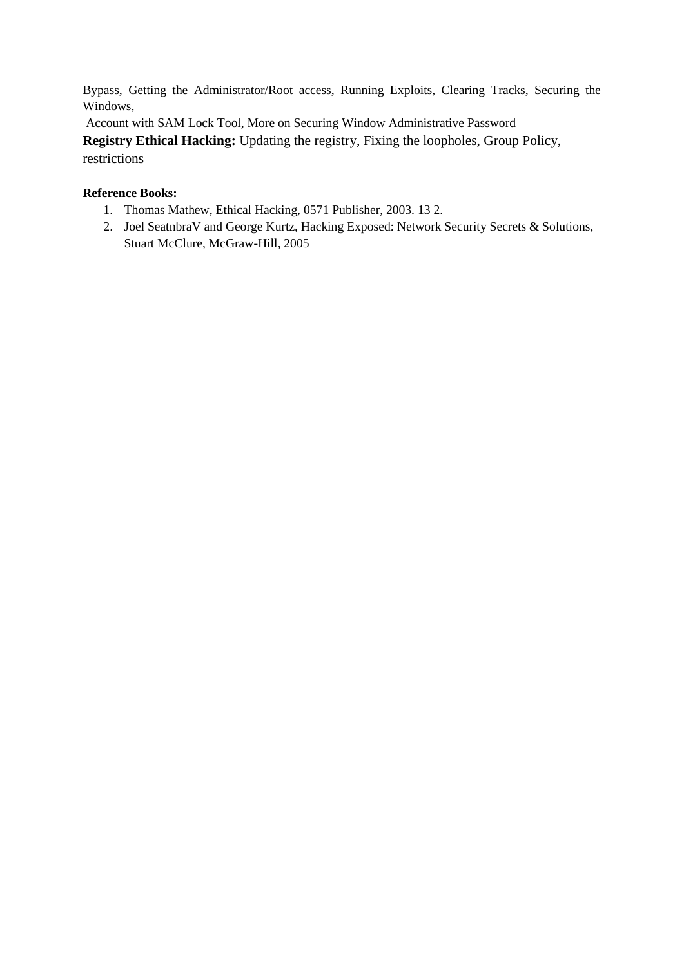Bypass, Getting the Administrator/Root access, Running Exploits, Clearing Tracks, Securing the Windows,

Account with SAM Lock Tool, More on Securing Window Administrative Password

**Registry Ethical Hacking:** Updating the registry, Fixing the loopholes, Group Policy, restrictions

- 1. Thomas Mathew, Ethical Hacking, 0571 Publisher, 2003. 13 2.
- 2. Joel SeatnbraV and George Kurtz, Hacking Exposed: Network Security Secrets & Solutions, Stuart McClure, McGraw-Hill, 2005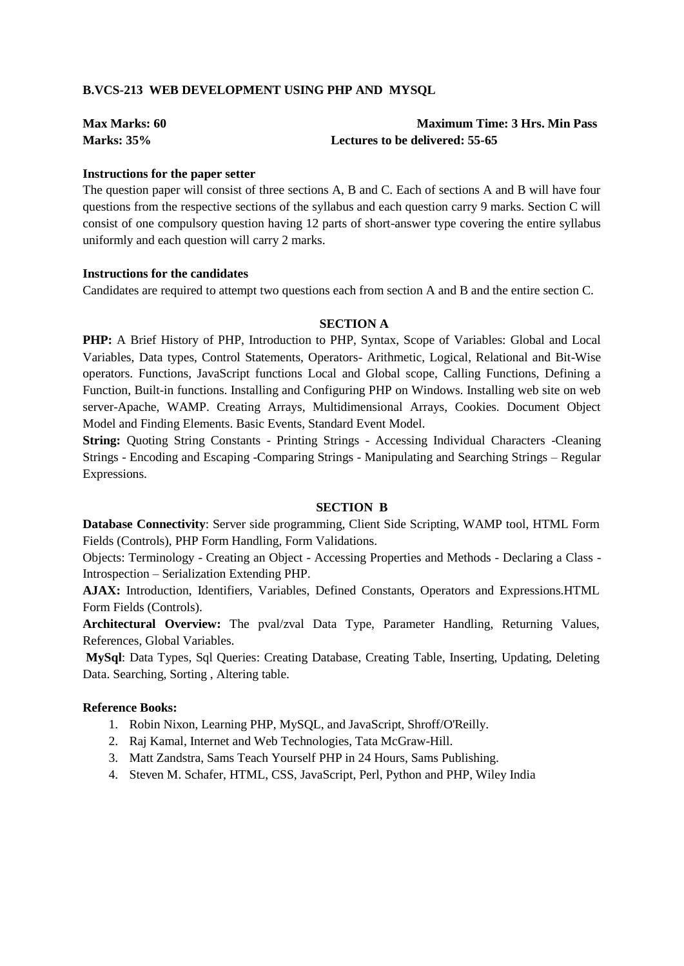#### **B.VCS-213 WEB DEVELOPMENT USING PHP AND MYSQL**

| <b>Max Marks: 60</b> | <b>Maximum Time: 3 Hrs. Min Pass</b> |
|----------------------|--------------------------------------|
| <b>Marks: 35%</b>    | Lectures to be delivered: 55-65      |

#### **Instructions for the paper setter**

The question paper will consist of three sections A, B and C. Each of sections A and B will have four questions from the respective sections of the syllabus and each question carry 9 marks. Section C will consist of one compulsory question having 12 parts of short-answer type covering the entire syllabus uniformly and each question will carry 2 marks.

#### **Instructions for the candidates**

Candidates are required to attempt two questions each from section A and B and the entire section C.

#### **SECTION A**

**PHP:** A Brief History of PHP, Introduction to PHP, Syntax, Scope of Variables: Global and Local Variables, Data types, Control Statements, Operators- Arithmetic, Logical, Relational and Bit-Wise operators. Functions, JavaScript functions Local and Global scope, Calling Functions, Defining a Function, Built-in functions. Installing and Configuring PHP on Windows. Installing web site on web server-Apache, WAMP. Creating Arrays, Multidimensional Arrays, Cookies. Document Object Model and Finding Elements. Basic Events, Standard Event Model.

**String:** Quoting String Constants - Printing Strings - Accessing Individual Characters -Cleaning Strings - Encoding and Escaping -Comparing Strings - Manipulating and Searching Strings – Regular Expressions.

#### **SECTION B**

**Database Connectivity**: Server side programming, Client Side Scripting, WAMP tool, HTML Form Fields (Controls), PHP Form Handling, Form Validations.

Objects: Terminology - Creating an Object - Accessing Properties and Methods - Declaring a Class - Introspection – Serialization Extending PHP.

**AJAX:** Introduction, Identifiers, Variables, Defined Constants, Operators and Expressions.HTML Form Fields (Controls).

**Architectural Overview:** The pval/zval Data Type, Parameter Handling, Returning Values, References, Global Variables.

**MySql**: Data Types, Sql Queries: Creating Database, Creating Table, Inserting, Updating, Deleting Data. Searching, Sorting , Altering table.

- 1. Robin Nixon, Learning PHP, MySQL, and JavaScript, Shroff/O'Reilly.
- 2. Raj Kamal, Internet and Web Technologies, Tata McGraw-Hill.
- 3. Matt Zandstra, Sams Teach Yourself PHP in 24 Hours, Sams Publishing.
- 4. Steven M. Schafer, HTML, CSS, JavaScript, Perl, Python and PHP, Wiley India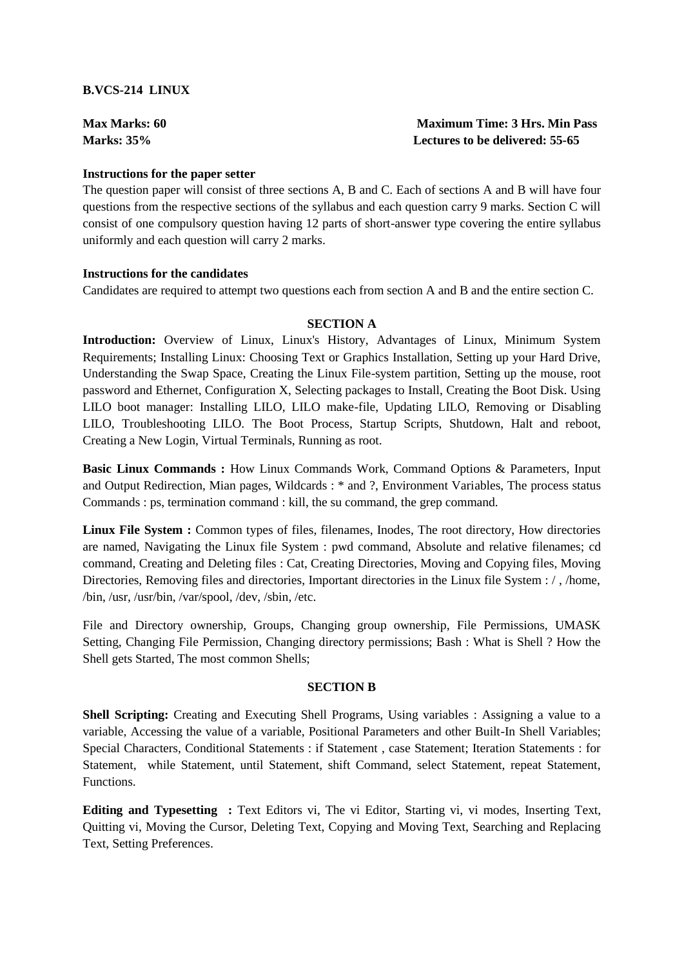#### **B.VCS-214 LINUX**

| <b>Max Marks: 60</b> | <b>Maximum Time: 3 Hrs. Min Pass</b> |
|----------------------|--------------------------------------|
| <b>Marks: 35%</b>    | Lectures to be delivered: 55-65      |

#### **Instructions for the paper setter**

The question paper will consist of three sections A, B and C. Each of sections A and B will have four questions from the respective sections of the syllabus and each question carry 9 marks. Section C will consist of one compulsory question having 12 parts of short-answer type covering the entire syllabus uniformly and each question will carry 2 marks.

#### **Instructions for the candidates**

Candidates are required to attempt two questions each from section A and B and the entire section C.

#### **SECTION A**

**Introduction:** Overview of Linux, Linux's History, Advantages of Linux, Minimum System Requirements; Installing Linux: Choosing Text or Graphics Installation, Setting up your Hard Drive, Understanding the Swap Space, Creating the Linux File-system partition, Setting up the mouse, root password and Ethernet, Configuration X, Selecting packages to Install, Creating the Boot Disk. Using LILO boot manager: Installing LILO, LILO make-file, Updating LILO, Removing or Disabling LILO, Troubleshooting LILO. The Boot Process, Startup Scripts, Shutdown, Halt and reboot, Creating a New Login, Virtual Terminals, Running as root.

**Basic Linux Commands :** How Linux Commands Work, Command Options & Parameters, Input and Output Redirection, Mian pages, Wildcards : \* and ?, Environment Variables, The process status Commands : ps, termination command : kill, the su command, the grep command.

**Linux File System :** Common types of files, filenames, Inodes, The root directory, How directories are named, Navigating the Linux file System : pwd command, Absolute and relative filenames; cd command, Creating and Deleting files : Cat, Creating Directories, Moving and Copying files, Moving Directories, Removing files and directories, Important directories in the Linux file System : / , /home, /bin, /usr, /usr/bin, /var/spool, /dev, /sbin, /etc.

File and Directory ownership, Groups, Changing group ownership, File Permissions, UMASK Setting, Changing File Permission, Changing directory permissions; Bash : What is Shell ? How the Shell gets Started, The most common Shells;

#### **SECTION B**

**Shell Scripting:** Creating and Executing Shell Programs, Using variables : Assigning a value to a variable, Accessing the value of a variable, Positional Parameters and other Built-In Shell Variables; Special Characters, Conditional Statements : if Statement , case Statement; Iteration Statements : for Statement, while Statement, until Statement, shift Command, select Statement, repeat Statement, Functions.

**Editing and Typesetting :** Text Editors vi, The vi Editor, Starting vi, vi modes, Inserting Text, Quitting vi, Moving the Cursor, Deleting Text, Copying and Moving Text, Searching and Replacing Text, Setting Preferences.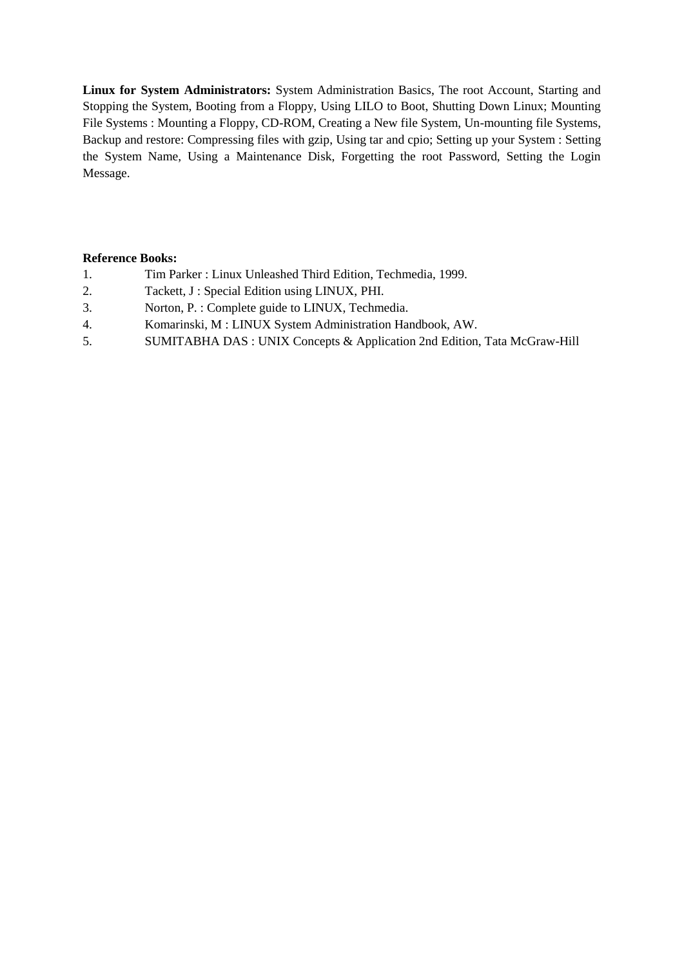**Linux for System Administrators:** System Administration Basics, The root Account, Starting and Stopping the System, Booting from a Floppy, Using LILO to Boot, Shutting Down Linux; Mounting File Systems : Mounting a Floppy, CD-ROM, Creating a New file System, Un-mounting file Systems, Backup and restore: Compressing files with gzip, Using tar and cpio; Setting up your System : Setting the System Name, Using a Maintenance Disk, Forgetting the root Password, Setting the Login Message.

- 1. Tim Parker : Linux Unleashed Third Edition, Techmedia, 1999.
- 2. Tackett, J : Special Edition using LINUX, PHI.
- 3. Norton, P. : Complete guide to LINUX, Techmedia.
- 4. Komarinski, M : LINUX System Administration Handbook, AW.
- 5. SUMITABHA DAS : UNIX Concepts & Application 2nd Edition, Tata McGraw-Hill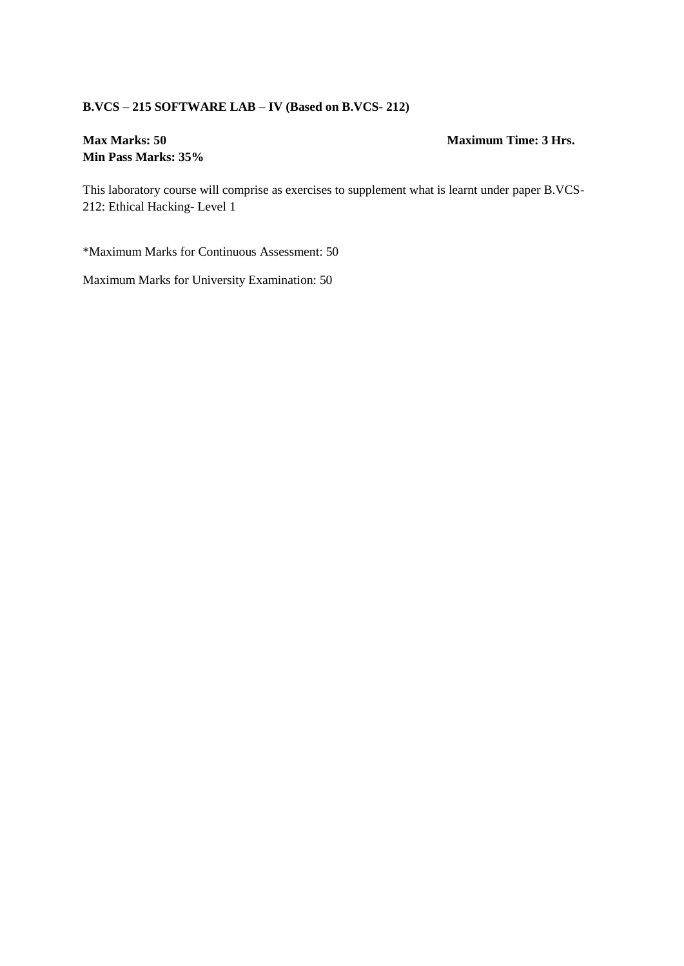# **B.VCS – 215 SOFTWARE LAB – IV (Based on B.VCS- 212)**

# **Min Pass Marks: 35%**

#### **Max Marks: 50 Maximum Time: 3 Hrs.**

This laboratory course will comprise as exercises to supplement what is learnt under paper B.VCS-212: Ethical Hacking- Level 1

\*Maximum Marks for Continuous Assessment: 50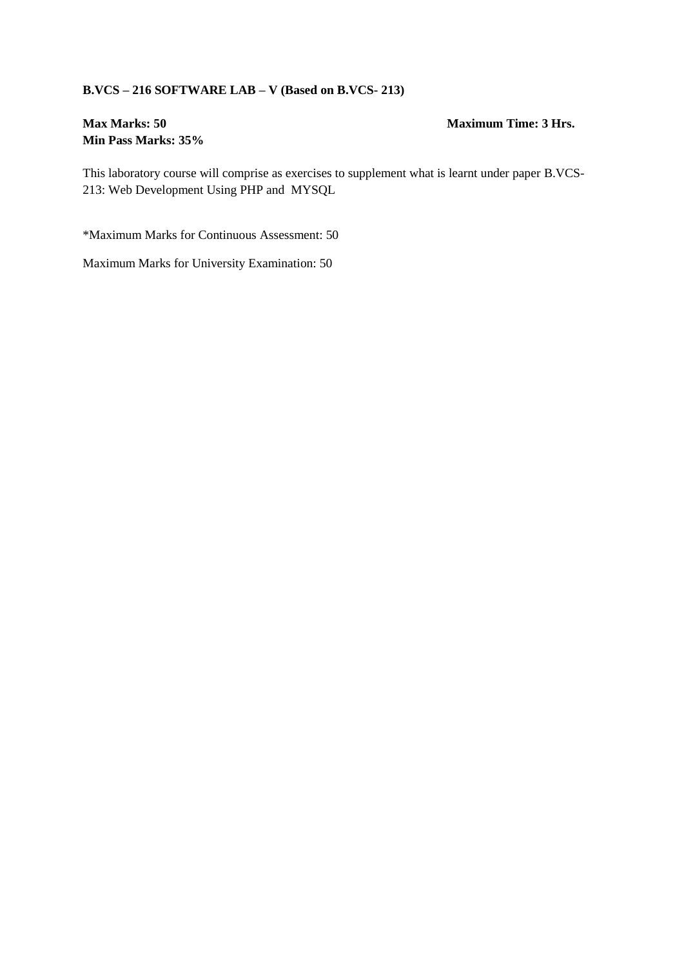### **B.VCS – 216 SOFTWARE LAB – V (Based on B.VCS- 213)**

# **Min Pass Marks: 35%**

#### **Max Marks: 50 Maximum Time: 3 Hrs.**

This laboratory course will comprise as exercises to supplement what is learnt under paper B.VCS-213: Web Development Using PHP and MYSQL

\*Maximum Marks for Continuous Assessment: 50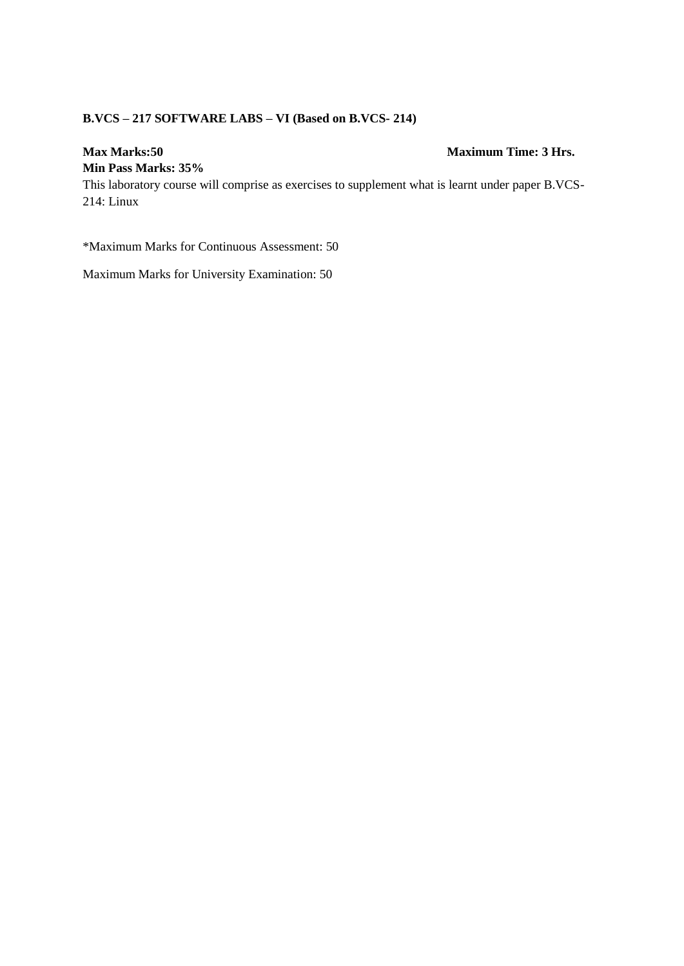# **B.VCS – 217 SOFTWARE LABS – VI (Based on B.VCS- 214)**

#### **Max Marks:50 Maximum Time: 3 Hrs.**

#### **Min Pass Marks: 35%**

This laboratory course will comprise as exercises to supplement what is learnt under paper B.VCS-214: Linux

\*Maximum Marks for Continuous Assessment: 50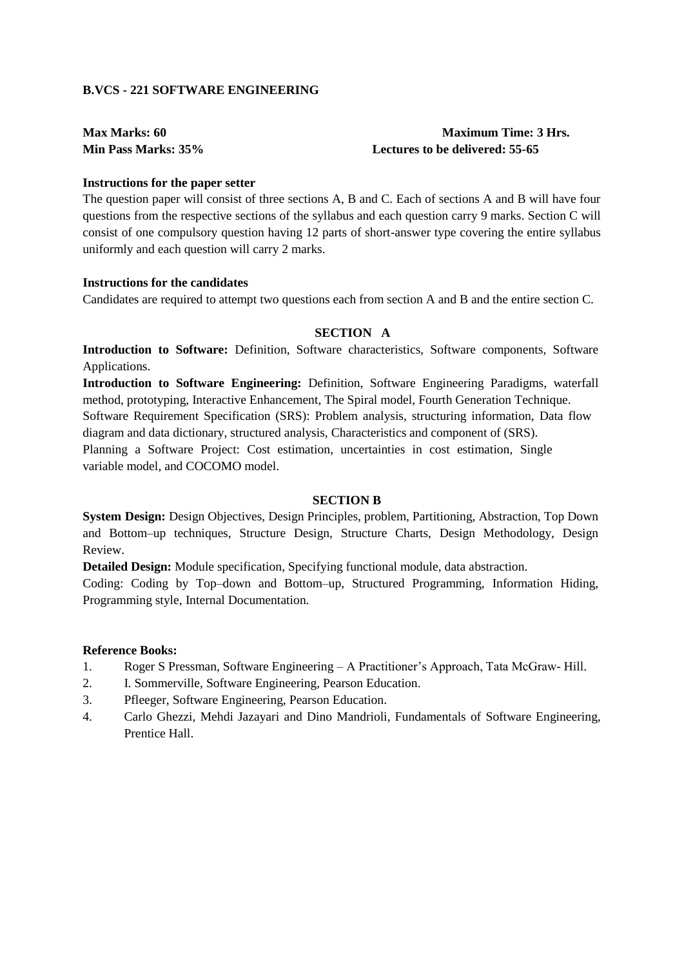#### **B.VCS - 221 SOFTWARE ENGINEERING**

## **Max Marks: 60 Maximum Time: 3 Hrs. Min Pass Marks: 35% Lectures to be delivered: 55-65**

#### **Instructions for the paper setter**

The question paper will consist of three sections A, B and C. Each of sections A and B will have four questions from the respective sections of the syllabus and each question carry 9 marks. Section C will consist of one compulsory question having 12 parts of short-answer type covering the entire syllabus uniformly and each question will carry 2 marks.

#### **Instructions for the candidates**

Candidates are required to attempt two questions each from section A and B and the entire section C.

### **SECTION A**

**Introduction to Software:** Definition, Software characteristics, Software components, Software Applications.

**Introduction to Software Engineering:** Definition, Software Engineering Paradigms, waterfall method, prototyping, Interactive Enhancement, The Spiral model, Fourth Generation Technique. Software Requirement Specification (SRS): Problem analysis, structuring information, Data flow diagram and data dictionary, structured analysis, Characteristics and component of (SRS). Planning a Software Project: Cost estimation, uncertainties in cost estimation, Single variable model, and COCOMO model.

#### **SECTION B**

**System Design:** Design Objectives, Design Principles, problem, Partitioning, Abstraction, Top Down and Bottom–up techniques, Structure Design, Structure Charts, Design Methodology, Design Review.

**Detailed Design:** Module specification, Specifying functional module, data abstraction.

Coding: Coding by Top–down and Bottom–up, Structured Programming, Information Hiding, Programming style, Internal Documentation.

- 1. Roger S Pressman, Software Engineering A Practitioner's Approach, Tata McGraw- Hill.
- 2. I. Sommerville, Software Engineering, Pearson Education.
- 3. Pfleeger, Software Engineering, Pearson Education.
- 4. Carlo Ghezzi, Mehdi Jazayari and Dino Mandrioli, Fundamentals of Software Engineering, Prentice Hall.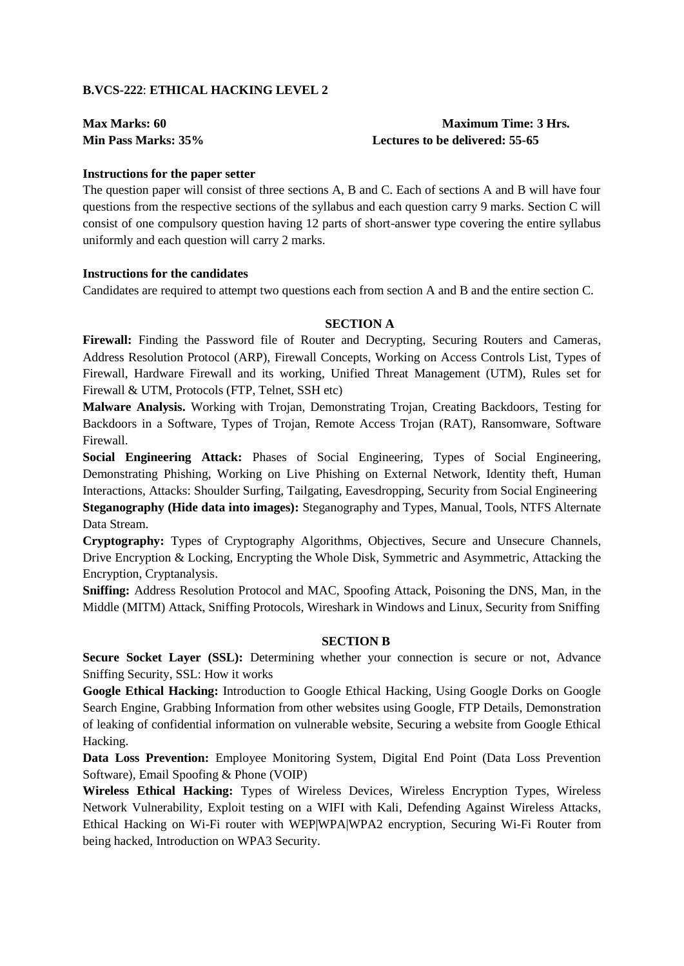#### **B.VCS-222**: **ETHICAL HACKING LEVEL 2**

**Max Marks: 60 Maximum Time: 3 Hrs. Min Pass Marks: 35% Lectures to be delivered: 55-65** 

#### **Instructions for the paper setter**

The question paper will consist of three sections A, B and C. Each of sections A and B will have four questions from the respective sections of the syllabus and each question carry 9 marks. Section C will consist of one compulsory question having 12 parts of short-answer type covering the entire syllabus uniformly and each question will carry 2 marks.

#### **Instructions for the candidates**

Candidates are required to attempt two questions each from section A and B and the entire section C.

#### **SECTION A**

**Firewall:** Finding the Password file of Router and Decrypting, Securing Routers and Cameras, Address Resolution Protocol (ARP), Firewall Concepts, Working on Access Controls List, Types of Firewall, Hardware Firewall and its working, Unified Threat Management (UTM), Rules set for Firewall & UTM, Protocols (FTP, Telnet, SSH etc)

**Malware Analysis.** Working with Trojan, Demonstrating Trojan, Creating Backdoors, Testing for Backdoors in a Software, Types of Trojan, Remote Access Trojan (RAT), Ransomware, Software Firewall.

**Social Engineering Attack:** Phases of Social Engineering, Types of Social Engineering, Demonstrating Phishing, Working on Live Phishing on External Network, Identity theft, Human Interactions, Attacks: Shoulder Surfing, Tailgating, Eavesdropping, Security from Social Engineering **Steganography (Hide data into images):** Steganography and Types, Manual, Tools, NTFS Alternate Data Stream.

**Cryptography:** Types of Cryptography Algorithms, Objectives, Secure and Unsecure Channels, Drive Encryption & Locking, Encrypting the Whole Disk, Symmetric and Asymmetric, Attacking the Encryption, Cryptanalysis.

**Sniffing:** Address Resolution Protocol and MAC, Spoofing Attack, Poisoning the DNS, Man, in the Middle (MITM) Attack, Sniffing Protocols, Wireshark in Windows and Linux, Security from Sniffing

#### **SECTION B**

**Secure Socket Layer (SSL):** Determining whether your connection is secure or not, Advance Sniffing Security, SSL: How it works

**Google Ethical Hacking:** Introduction to Google Ethical Hacking, Using Google Dorks on Google Search Engine, Grabbing Information from other websites using Google, FTP Details, Demonstration of leaking of confidential information on vulnerable website, Securing a website from Google Ethical Hacking.

**Data Loss Prevention:** Employee Monitoring System, Digital End Point (Data Loss Prevention Software), Email Spoofing & Phone (VOIP)

**Wireless Ethical Hacking:** Types of Wireless Devices, Wireless Encryption Types, Wireless Network Vulnerability, Exploit testing on a WIFI with Kali, Defending Against Wireless Attacks, Ethical Hacking on Wi-Fi router with WEP|WPA|WPA2 encryption, Securing Wi-Fi Router from being hacked, Introduction on WPA3 Security.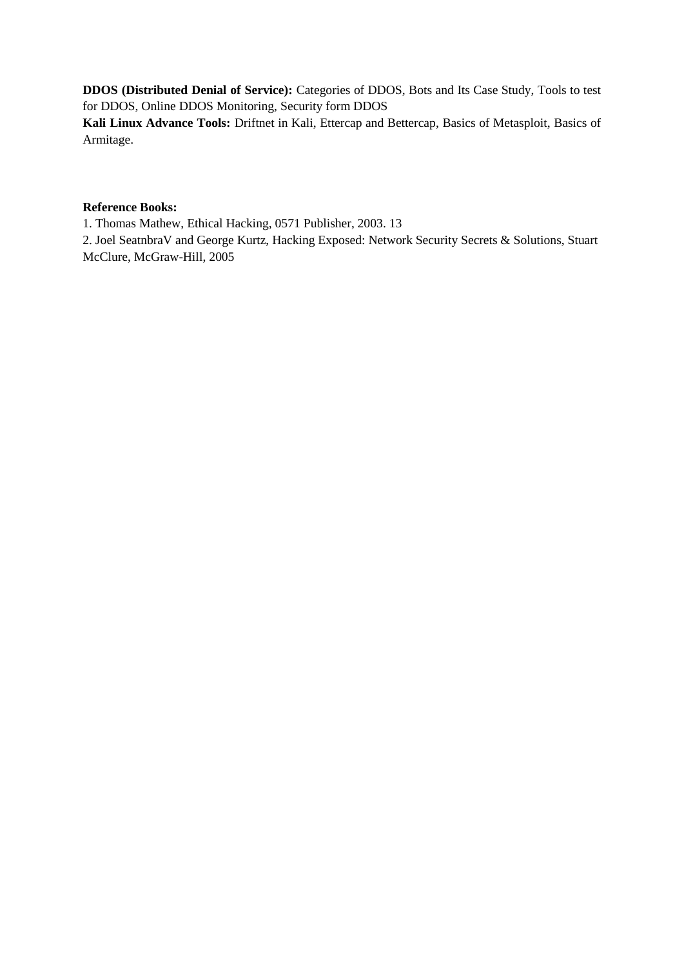**DDOS (Distributed Denial of Service):** Categories of DDOS, Bots and Its Case Study, Tools to test for DDOS, Online DDOS Monitoring, Security form DDOS

**Kali Linux Advance Tools:** Driftnet in Kali, Ettercap and Bettercap, Basics of Metasploit, Basics of Armitage.

#### **Reference Books:**

1. Thomas Mathew, Ethical Hacking, 0571 Publisher, 2003. 13

2. Joel SeatnbraV and George Kurtz, Hacking Exposed: Network Security Secrets & Solutions, Stuart McClure, McGraw-Hill, 2005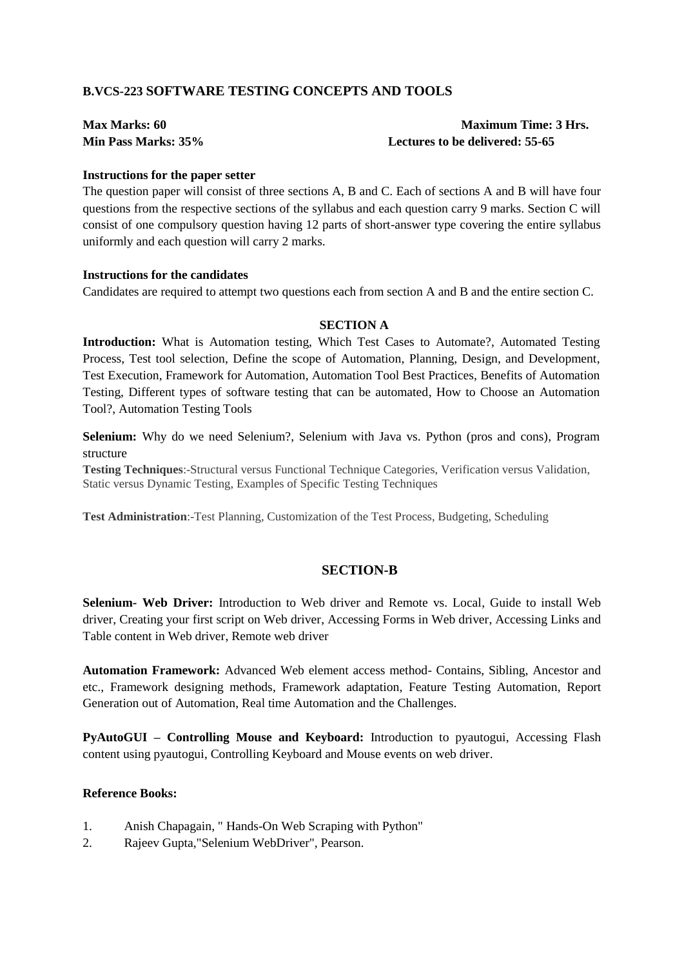## **B.VCS-223 SOFTWARE TESTING CONCEPTS AND TOOLS**

| <b>Max Marks: 60</b> |  |
|----------------------|--|
| Min Pass Marks: 35%  |  |

**Maximum Time: 3 Hrs.** Lectures to be delivered: 55-65

#### **Instructions for the paper setter**

The question paper will consist of three sections A, B and C. Each of sections A and B will have four questions from the respective sections of the syllabus and each question carry 9 marks. Section C will consist of one compulsory question having 12 parts of short-answer type covering the entire syllabus uniformly and each question will carry 2 marks.

#### **Instructions for the candidates**

Candidates are required to attempt two questions each from section A and B and the entire section C.

#### **SECTION A**

**Introduction:** What is Automation testing, [Which Test Cases to Automate?,](https://www.guru99.com/automation-testing.html#3) [Automated Testing](https://www.guru99.com/automation-testing.html#4)  [Process,](https://www.guru99.com/automation-testing.html#4) [Test tool selection,](https://www.guru99.com/automation-testing.html#5) [Define the scope of Automation,](https://www.guru99.com/automation-testing.html#6) [Planning, Design, and Development,](https://www.guru99.com/automation-testing.html#7) [Test Execution,](https://www.guru99.com/automation-testing.html#8) [Framework for Automation,](https://www.guru99.com/automation-testing.html#9) [Automation Tool Best Practices,](https://www.guru99.com/automation-testing.html#10) [Benefits of Automation](https://www.guru99.com/automation-testing.html#11)  [Testing,](https://www.guru99.com/automation-testing.html#11) [Different types of software testing that can be automated,](https://www.guru99.com/automation-testing.html#12) [How to Choose an Automation](https://www.guru99.com/automation-testing.html#13)  [Tool?,](https://www.guru99.com/automation-testing.html#13) [Automation Testing Tools](https://www.guru99.com/automation-testing.html#14)

**Selenium:** Why do we need Selenium?, Selenium with Java vs. Python (pros and cons), Program structure

**Testing Techniques**:-Structural versus Functional Technique Categories, Verification versus Validation, Static versus Dynamic Testing, Examples of Specific Testing Techniques

**Test Administration**:-Test Planning, Customization of the Test Process, Budgeting, Scheduling

### **SECTION-B**

**Selenium- Web Driver:** Introduction to Web driver and Remote vs. Local, Guide to install Web driver, Creating your first script on Web driver, Accessing Forms in Web driver, Accessing Links and Table content in Web driver, Remote web driver

**Automation Framework:** Advanced Web element access method- Contains, Sibling, Ancestor and etc., Framework designing methods, Framework adaptation, Feature Testing Automation, Report Generation out of Automation, Real time Automation and the Challenges.

**PyAutoGUI – Controlling Mouse and Keyboard:** Introduction to pyautogui, Accessing Flash content using pyautogui, Controlling Keyboard and Mouse events on web driver.

- 1. [Anish Chapagain,](https://www.amazon.in/Anish-Chapagain/e/B07T1SXRDL/ref=dp_byline_cont_book_1) " Hands-On Web Scraping with Python"
- 2. Rajeev Gupta,"Selenium WebDriver", Pearson.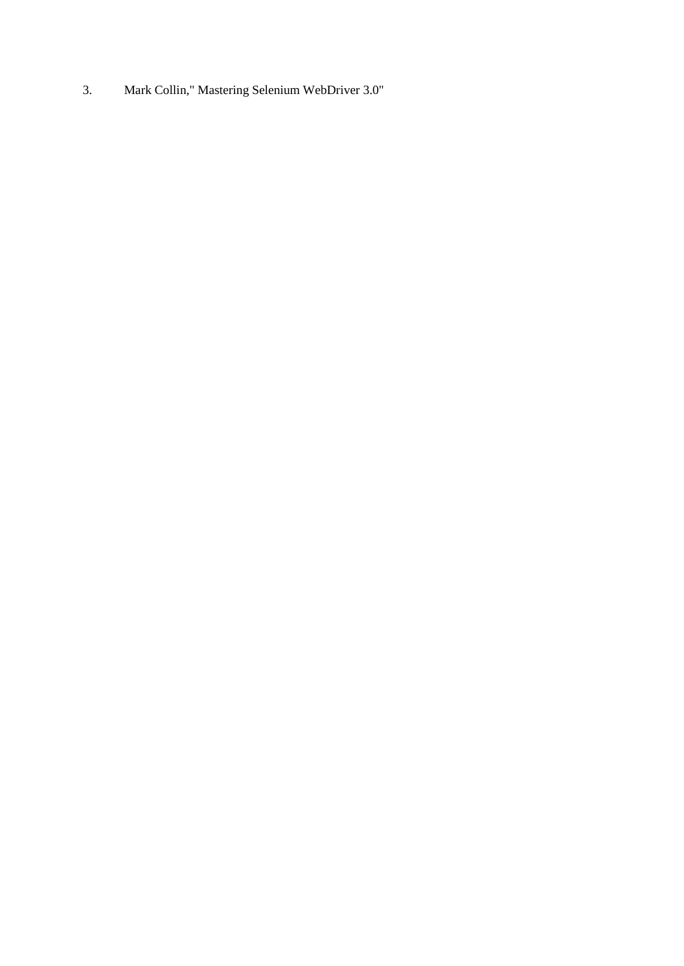3. [Mark Collin,](https://www.amazon.in/Mark-Collin/e/B07FP9XRMB/ref=dp_byline_cont_ebooks_1)" Mastering Selenium WebDriver 3.0"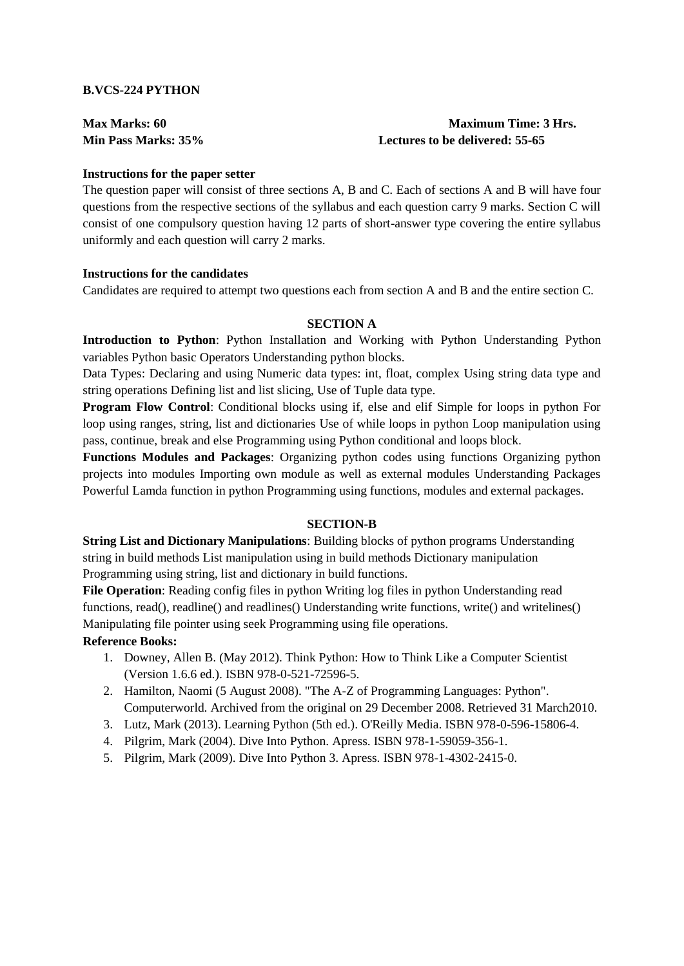#### **B.VCS-224 PYTHON**

# **Max Marks: 60 Maximum Time: 3 Hrs. Min Pass Marks: 35% Lectures to be delivered: 55-65**

#### **Instructions for the paper setter**

The question paper will consist of three sections A, B and C. Each of sections A and B will have four questions from the respective sections of the syllabus and each question carry 9 marks. Section C will consist of one compulsory question having 12 parts of short-answer type covering the entire syllabus uniformly and each question will carry 2 marks.

#### **Instructions for the candidates**

Candidates are required to attempt two questions each from section A and B and the entire section C.

#### **SECTION A**

**Introduction to Python**: Python Installation and Working with Python Understanding Python variables Python basic Operators Understanding python blocks.

Data Types: Declaring and using Numeric data types: int, float, complex Using string data type and string operations Defining list and list slicing, Use of Tuple data type.

**Program Flow Control**: Conditional blocks using if, else and elif Simple for loops in python For loop using ranges, string, list and dictionaries Use of while loops in python Loop manipulation using pass, continue, break and else Programming using Python conditional and loops block.

**Functions Modules and Packages**: Organizing python codes using functions Organizing python projects into modules Importing own module as well as external modules Understanding Packages Powerful Lamda function in python Programming using functions, modules and external packages.

#### **SECTION-B**

**String List and Dictionary Manipulations**: Building blocks of python programs Understanding string in build methods List manipulation using in build methods Dictionary manipulation Programming using string, list and dictionary in build functions.

**File Operation**: Reading config files in python Writing log files in python Understanding read functions, read(), readline() and readlines() Understanding write functions, write() and writelines() Manipulating file pointer using seek Programming using file operations.

- 1. Downey, Allen B. (May 2012). Think Python: How to Think Like a Computer Scientist (Version 1.6.6 ed.). ISBN 978-0-521-72596-5.
- 2. Hamilton, Naomi (5 August 2008). "The A-Z of Programming Languages: Python". Computerworld. Archived from the original on 29 December 2008. Retrieved 31 March2010.
- 3. Lutz, Mark (2013). Learning Python (5th ed.). O'Reilly Media. ISBN 978-0-596-15806-4.
- 4. Pilgrim, Mark (2004). Dive Into Python. Apress. ISBN 978-1-59059-356-1.
- 5. Pilgrim, Mark (2009). Dive Into Python 3. Apress. ISBN 978-1-4302-2415-0.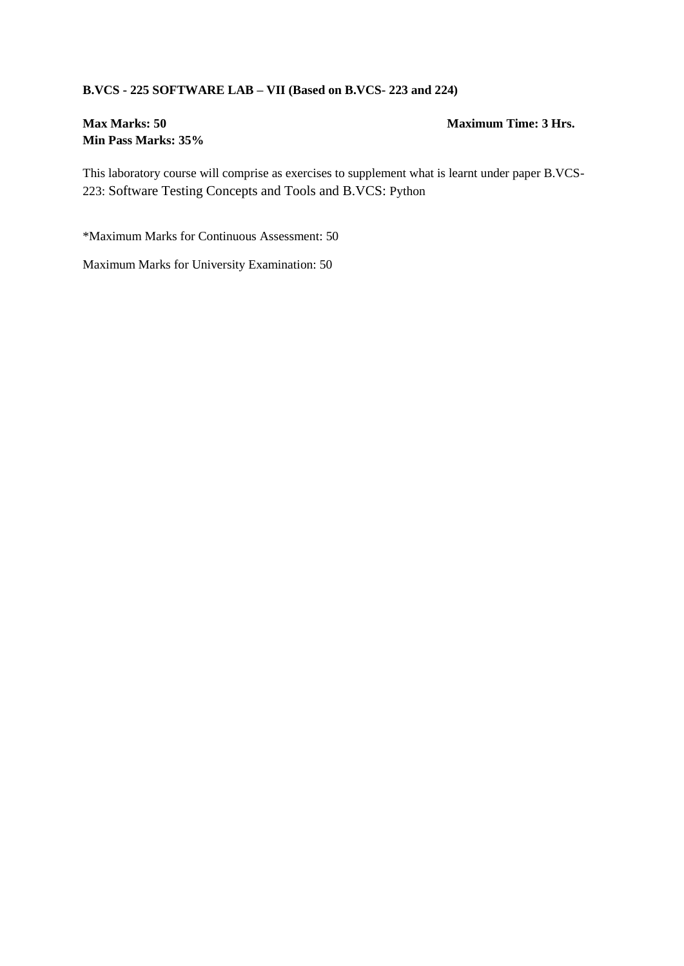### **B.VCS - 225 SOFTWARE LAB – VII (Based on B.VCS- 223 and 224)**

# **Min Pass Marks: 35%**

#### **Max Marks: 50 Maximum Time: 3 Hrs.**

This laboratory course will comprise as exercises to supplement what is learnt under paper B.VCS-223: Software Testing Concepts and Tools and B.VCS: Python

\*Maximum Marks for Continuous Assessment: 50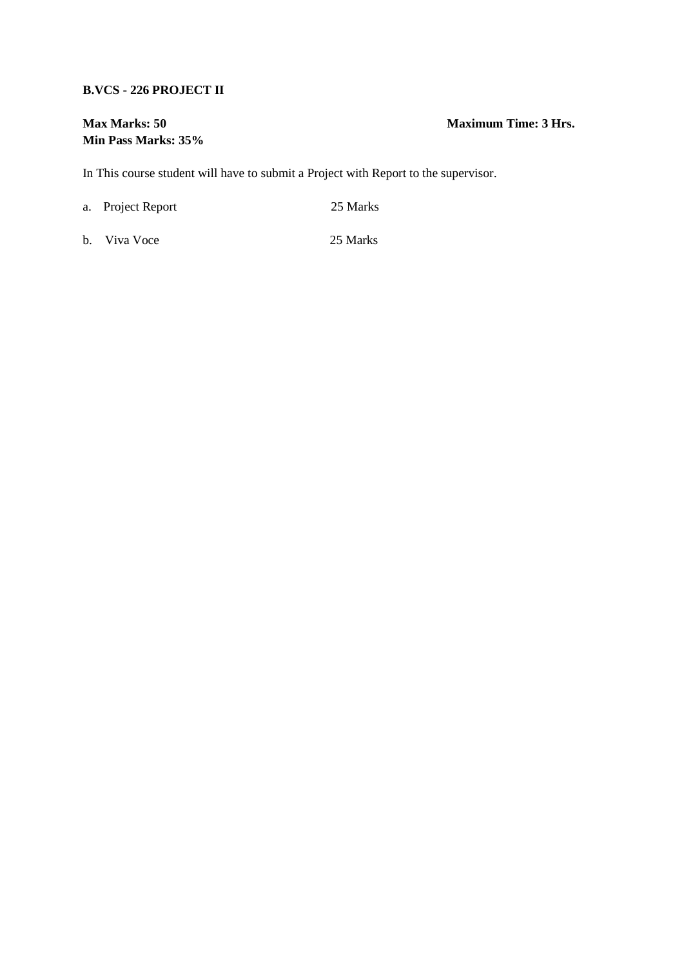#### **B.VCS - 226 PROJECT II**

# **Min Pass Marks: 35%**

**Max Marks: 50 Maximum Time: 3 Hrs.**

In This course student will have to submit a Project with Report to the supervisor.

a. Project Report 25 Marks

b. Viva Voce 25 Marks